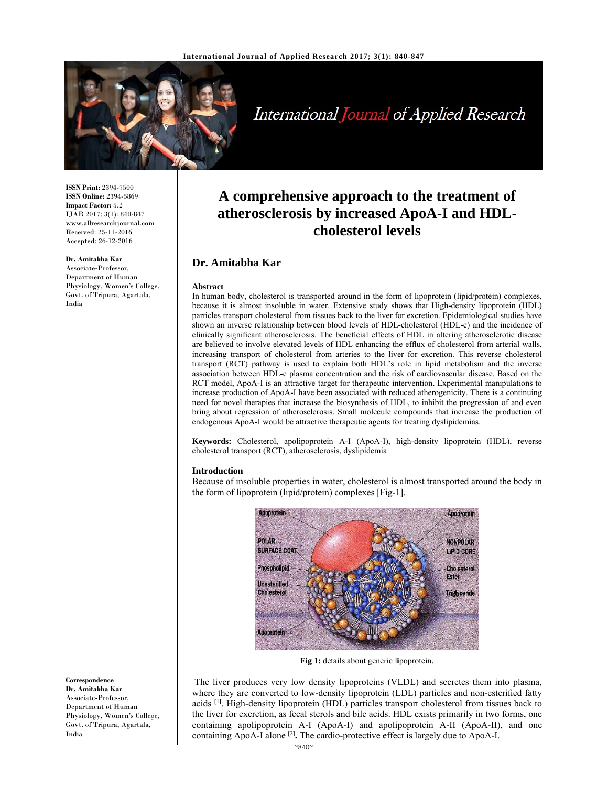

# International Journal of Applied Research

**ISSN Print:** 2394-7500 **ISSN Online:** 2394-5869 **Impact Factor:** 5.2 IJAR 2017; 3(1): 840-847 www.allresearchjournal.com Received: 25-11-2016 Accepted: 26-12-2016

#### **Dr. Amitabha Kar**

Associate**-**Professor, Department of Human Physiology, Women's College, Govt. of Tripura, Agartala, India

**A comprehensive approach to the treatment of atherosclerosis by increased ApoA-I and HDLcholesterol levels**

### **Dr. Amitabha Kar**

#### **Abstract**

In human body, cholesterol is transported around in the form of lipoprotein (lipid/protein) complexes, because it is almost insoluble in water. Extensive study shows that High-density lipoprotein (HDL) particles transport cholesterol from tissues back to the liver for excretion. Epidemiological studies have shown an inverse relationship between blood levels of HDL-cholesterol (HDL-c) and the incidence of clinically significant atherosclerosis. The beneficial effects of HDL in altering atherosclerotic disease are believed to involve elevated levels of HDL enhancing the efflux of cholesterol from arterial walls, increasing transport of cholesterol from arteries to the liver for excretion. This reverse cholesterol transport (RCT) pathway is used to explain both HDL's role in lipid metabolism and the inverse association between HDL-c plasma concentration and the risk of cardiovascular disease. Based on the RCT model, ApoA-I is an attractive target for therapeutic intervention. Experimental manipulations to increase production of ApoA-I have been associated with reduced atherogenicity. There is a continuing need for novel therapies that increase the biosynthesis of HDL, to inhibit the progression of and even bring about regression of atherosclerosis. Small molecule compounds that increase the production of endogenous ApoA-I would be attractive therapeutic agents for treating dyslipidemias.

**Keywords:** Cholesterol, apolipoprotein A-I (ApoA-I), high-density lipoprotein (HDL), reverse cholesterol transport (RCT), atherosclerosis, dyslipidemia

#### **Introduction**

Because of insoluble properties in water, cholesterol is almost transported around the body in the form of lipoprotein (lipid/protein) complexes [Fig-1].



**Fig 1:** details about generic l**i**poprotein.

 The liver produces very low density lipoproteins (VLDL) and secretes them into plasma, where they are converted to low-density lipoprotein (LDL) particles and non-esterified fatty acids <sup>[1]</sup>. High-density lipoprotein (HDL) particles transport cholesterol from tissues back to the liver for excretion, as fecal sterols and bile acids. HDL exists primarily in two forms, one containing apolipoprotein A-I (ApoA-I) and apolipoprotein A-II (ApoA-II), and one containing ApoA-I alone [2**] .** The cardio-protective effect is largely due to ApoA-I.

**Dr. Amitabha Kar**  Associate**-**Professor, Department of Human Physiology, Women's College, Govt. of Tripura, Agartala,

**Correspondence**

India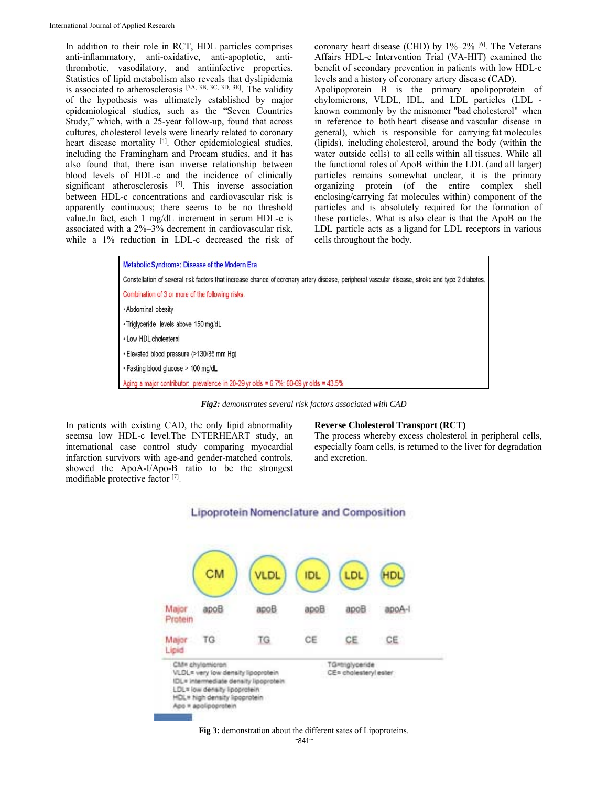In addition to their role in RCT, HDL particles comprises anti-inflammatory, anti-oxidative, anti-apoptotic, antithrombotic, vasodilatory, and antiinfective properties. Statistics of lipid metabolism also reveals that dyslipidemia is associated to atherosclerosis  $[3A, 3B, 3C, 3D, 3E]$ . The validity of the hypothesis was ultimately established by major epidemiological studies**,** such as the "Seven Countries Study," which, with a 25-year follow-up, found that across cultures, cholesterol levels were linearly related to coronary heart disease mortality [4]. Other epidemiological studies, including the Framingham and Procam studies, and it has also found that, there isan inverse relationship between blood levels of HDL-c and the incidence of clinically significant atherosclerosis [5]. This inverse association between HDL-c concentrations and cardiovascular risk is apparently continuous; there seems to be no threshold value.In fact, each 1 mg/dL increment in serum HDL-c is associated with a 2%–3% decrement in cardiovascular risk, while a 1% reduction in LDL-c decreased the risk of

coronary heart disease (CHD) by 1%–2% [6**]** . The Veterans Affairs HDL-c Intervention Trial (VA-HIT) examined the benefit of secondary prevention in patients with low HDL-c levels and a history of coronary artery disease (CAD).

Apolipoprotein B is the primary apolipoprotein of chylomicrons, VLDL, IDL, and LDL particles (LDL known commonly by the misnomer "bad cholesterol" when in reference to both heart disease and vascular disease in general), which is responsible for carrying fat molecules (lipids), including cholesterol, around the body (within the water outside cells) to all cells within all tissues. While all the functional roles of ApoB within the LDL (and all larger) particles remains somewhat unclear, it is the primary organizing protein (of the entire complex shell enclosing/carrying fat molecules within) component of the particles and is absolutely required for the formation of these particles. What is also clear is that the ApoB on the LDL particle acts as a ligand for LDL receptors in various cells throughout the body.

Metabolic Syndrome: Disease of the Modern Era Constellation of several risk factors that increase chance of coronary artery disease, peripheral vascular disease, stroke and type 2 diabetes. Combination of 3 or more of the following risks: · Abdominal obesity · Triglyceride levels above 150 mg/dL • Low HDL cholesterol · Elevated blood pressure (>130/85 mm Hg) · Fasting blood glucose > 100 mg/dL Aging a major contributor: prevalence in 20-29 yr olds = 6.7%; 60-69 yr olds = 43.5%

*Fig2: demonstrates several risk factors associated with CAD* 

In patients with existing CAD, the only lipid abnormality seemsa low HDL-c level.The INTERHEART study, an international case control study comparing myocardial infarction survivors with age-and gender-matched controls, showed the ApoA-I/Apo-B ratio to be the strongest modifiable protective factor [7].

#### **Reverse Cholesterol Transport (RCT)**

The process whereby excess cholesterol in peripheral cells, especially foam cells, is returned to the liver for degradation and excretion.



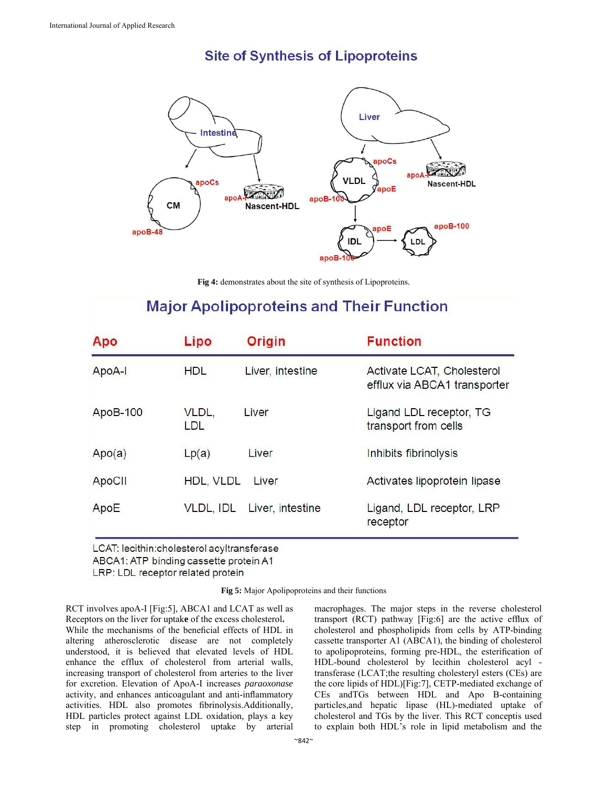## **Site of Synthesis of Lipoproteins**



**Fig 4:** demonstrates about the site of synthesis of Lipoproteins.

## **Major Apolipoproteins and Their Function**

| Apo      | Lipo               | <b>Origin</b>    | <b>Function</b>                                            |
|----------|--------------------|------------------|------------------------------------------------------------|
| ApoA-I   | <b>HDL</b>         | Liver, intestine | Activate LCAT, Cholesterol<br>efflux via ABCA1 transporter |
| ApoB-100 | VLDL,<br>LDL       | Liver            | Ligand LDL receptor, TG<br>transport from cells            |
| Apo(a)   | Lp(a)              | Liver            | Inhibits fibrinolysis                                      |
| ApoCII   | HDL, VLDL<br>Liver |                  | Activates lipoprotein lipase                               |
| ApoE     | VLDL, IDL          | Liver, intestine | Ligand, LDL receptor, LRP<br>receptor                      |

LCAT: lecithin:cholesterol acyltransferase

ABCA1: ATP binding cassette protein A1

LRP: LDL receptor related protein

**Fig 5:** Major Apolipoproteins and their functions

RCT involves apoA-I [Fig:5], ABCA1 and LCAT as well as Receptors on the liver for uptak**e** of the excess cholesterol**.**  While the mechanisms of the beneficial effects of HDL in altering atherosclerotic disease are not completely understood, it is believed that elevated levels of HDL enhance the efflux of cholesterol from arterial walls, increasing transport of cholesterol from arteries to the liver for excretion. Elevation of ApoA-I increases *paraoxonase*  activity, and enhances anticoagulant and anti-inflammatory activities. HDL also promotes fibrinolysis.Additionally, HDL particles protect against LDL oxidation, plays a key step in promoting cholesterol uptake by arterial macrophages. The major steps in the reverse cholesterol transport (RCT) pathway [Fig:6] are the active efflux of cholesterol and phospholipids from cells by ATP-binding cassette transporter A1 (ABCA1), the binding of cholesterol to apolipoproteins, forming pre-HDL, the esterification of HDL-bound cholesterol by lecithin cholesterol acyl transferase (LCAT;the resulting cholesteryl esters (CEs) are the core lipids of HDL)[Fig:7], CETP-mediated exchange of CEs andTGs between HDL and Apo B-containing particles,and hepatic lipase (HL)-mediated uptake of cholesterol and TGs by the liver. This RCT conceptis used to explain both HDL's role in lipid metabolism and the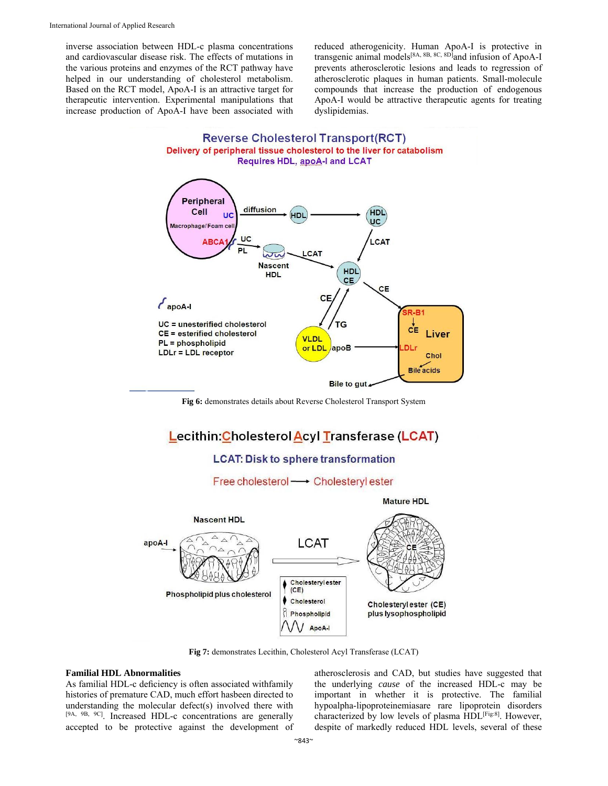inverse association between HDL-c plasma concentrations and cardiovascular disease risk. The effects of mutations in the various proteins and enzymes of the RCT pathway have helped in our understanding of cholesterol metabolism. Based on the RCT model, ApoA-I is an attractive target for therapeutic intervention. Experimental manipulations that increase production of ApoA-I have been associated with reduced atherogenicity. Human ApoA-I is protective in transgenic animal models<sup>[8A, 8B, 8C, 8D]</sup>and infusion of ApoA-I prevents atherosclerotic lesions and leads to regression of atherosclerotic plaques in human patients. Small-molecule compounds that increase the production of endogenous ApoA-I would be attractive therapeutic agents for treating dyslipidemias.





**Fig 6:** demonstrates details about Reverse Cholesterol Transport System

## Lecithin: Cholesterol Acyl Transferase (LCAT)

## **LCAT: Disk to sphere transformation**

Free cholesterol → Cholesteryl ester



**Fig 7:** demonstrates Lecithin, Cholesterol Acyl Transferase (LCAT)

#### **Familial HDL Abnormalities**

As familial HDL-c deficiency is often associated withfamily histories of premature CAD, much effort hasbeen directed to understanding the molecular defect(s) involved there with [9A, 9B, 9C]. Increased HDL-c concentrations are generally accepted to be protective against the development of atherosclerosis and CAD, but studies have suggested that the underlying *cause* of the increased HDL-c may be important in whether it is protective. The familial hypoalpha-lipoproteinemiasare rare lipoprotein disorders characterized by low levels of plasma HDL<sup>[Fig:8]</sup>. However, despite of markedly reduced HDL levels, several of these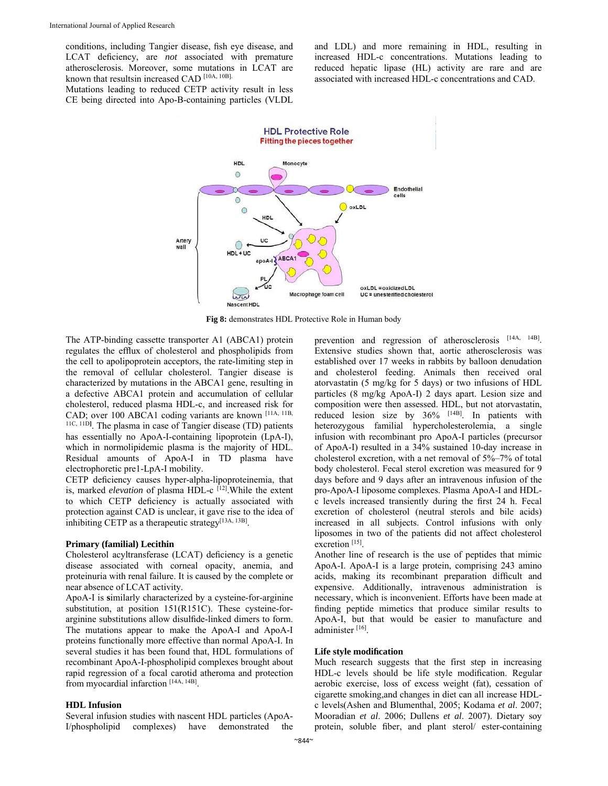conditions, including Tangier disease, fish eye disease, and LCAT deficiency, are *not* associated with premature atherosclerosis. Moreover, some mutations in LCAT are known that resultsin increased CAD [10A, 10B].

and LDL) and more remaining in HDL, resulting in increased HDL-c concentrations. Mutations leading to reduced hepatic lipase (HL) activity are rare and are associated with increased HDL-c concentrations and CAD.

Mutations leading to reduced CETP activity result in less CE being directed into Apo-B-containing particles (VLDL



**Fig 8:** demonstrates HDL Protective Role in Human body

The ATP-binding cassette transporter A1 (ABCA1) protein regulates the efflux of cholesterol and phospholipids from the cell to apolipoprotein acceptors, the rate-limiting step in the removal of cellular cholesterol. Tangier disease is characterized by mutations in the ABCA1 gene, resulting in a defective ABCA1 protein and accumulation of cellular cholesterol, reduced plasma HDL-c, and increased risk for CAD; over 100 ABCA1 coding variants are known [11A, 11B, 11C, 11D**]** . The plasma in case of Tangier disease (TD) patients has essentially no ApoA-I-containing lipoprotein (LpA-I), which in normolipidemic plasma is the majority of HDL. Residual amounts of ApoA-I in TD plasma have electrophoretic pre1-LpA-I mobility.

CETP deficiency causes hyper-alpha-lipoproteinemia, that is, marked *elevation* of plasma HDL-c <sup>[12]</sup>. While the extent to which CETP deficiency is actually associated with protection against CAD is unclear, it gave rise to the idea of inhibiting CETP as a therapeutic strategy $[13A, 13B]$ .

#### **Primary (familial) Lecithin**

Cholesterol acyltransferase (LCAT) deficiency is a genetic disease associated with corneal opacity, anemia, and proteinuria with renal failure. It is caused by the complete or near absence of LCAT activity.

ApoA-I is **s**imilarly characterized by a cysteine-for-arginine substitution, at position 151(R151C). These cysteine-forarginine substitutions allow disulfide-linked dimers to form. The mutations appear to make the ApoA-I and ApoA-I proteins functionally more effective than normal ApoA-I. In several studies it has been found that, HDL formulations of recombinant ApoA-I-phospholipid complexes brought about rapid regression of a focal carotid atheroma and protection from myocardial infarction [14A, 14B].

#### **HDL Infusion**

Several infusion studies with nascent HDL particles (ApoA-I/phospholipid complexes) have demonstrated the

prevention and regression of atherosclerosis [14A, 14B]. Extensive studies shown that, aortic atherosclerosis was established over 17 weeks in rabbits by balloon denudation and cholesterol feeding. Animals then received oral atorvastatin (5 mg/kg for 5 days) or two infusions of HDL particles (8 mg/kg ApoA-I) 2 days apart. Lesion size and composition were then assessed. HDL, but not atorvastatin, reduced lesion size by 36% [14B]. In patients with heterozygous familial hypercholesterolemia, a single infusion with recombinant pro ApoA-I particles (precursor of ApoA-I) resulted in a 34% sustained 10-day increase in cholesterol excretion, with a net removal of 5%–7% of total body cholesterol. Fecal sterol excretion was measured for 9 days before and 9 days after an intravenous infusion of the pro-ApoA-I liposome complexes. Plasma ApoA-I and HDLc levels increased transiently during the first 24 h. Fecal excretion of cholesterol (neutral sterols and bile acids) increased in all subjects. Control infusions with only liposomes in two of the patients did not affect cholesterol excretion [15].

Another line of research is the use of peptides that mimic ApoA-I. ApoA-I is a large protein, comprising 243 amino acids, making its recombinant preparation difficult and expensive. Additionally, intravenous administration is necessary, which is inconvenient. Efforts have been made at finding peptide mimetics that produce similar results to ApoA-I, but that would be easier to manufacture and administer<sup>[16]</sup>.

#### **Life style modification**

Much research suggests that the first step in increasing HDL-c levels should be life style modification. Regular aerobic exercise, loss of excess weight (fat), cessation of cigarette smoking,and changes in diet can all increase HDLc levels(Ashen and Blumenthal, 2005; Kodama *et al*. 2007; Mooradian *et al*. 2006; Dullens *et al*. 2007). Dietary soy protein, soluble fiber, and plant sterol/ ester-containing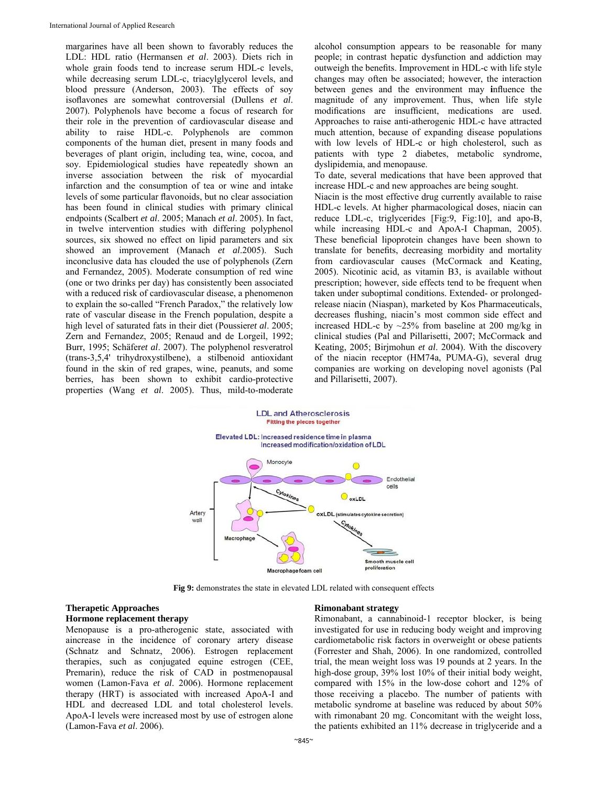margarines have all been shown to favorably reduces the LDL: HDL ratio (Hermansen *et al*. 2003). Diets rich in whole grain foods tend to increase serum HDL-c levels, while decreasing serum LDL-c, triacylglycerol levels, and blood pressure (Anderson, 2003). The effects of soy isoflavones are somewhat controversial (Dullens *et al*. 2007). Polyphenols have become a focus of research for their role in the prevention of cardiovascular disease and ability to raise HDL-c. Polyphenols are common components of the human diet, present in many foods and beverages of plant origin, including tea, wine, cocoa, and soy. Epidemiological studies have repeatedly shown an inverse association between the risk of myocardial infarction and the consumption of tea or wine and intake levels of some particular flavonoids, but no clear association has been found in clinical studies with primary clinical endpoints (Scalbert *et al*. 2005; Manach *et al*. 2005). In fact, in twelve intervention studies with differing polyphenol sources, six showed no effect on lipid parameters and six showed an improvement (Manach *et al*.2005). Such inconclusive data has clouded the use of polyphenols (Zern and Fernandez, 2005). Moderate consumption of red wine (one or two drinks per day) has consistently been associated with a reduced risk of cardiovascular disease, a phenomenon to explain the so-called "French Paradox," the relatively low rate of vascular disease in the French population, despite a high level of saturated fats in their diet (Poussier*et al*. 2005; Zern and Fernandez, 2005; Renaud and de Lorgeil, 1992; Burr, 1995; Schäfer*et al*. 2007). The polyphenol resveratrol (trans-3,5,4' trihydroxystilbene), a stilbenoid antioxidant found in the skin of red grapes, wine, peanuts, and some berries, has been shown to exhibit cardio-protective properties (Wang *et al*. 2005). Thus, mild-to-moderate alcohol consumption appears to be reasonable for many people; in contrast hepatic dysfunction and addiction may outweigh the benefits. Improvement in HDL-c with life style changes may often be associated; however, the interaction between genes and the environment may **i**nfluence the magnitude of any improvement. Thus, when life style modifications are insufficient, medications are used. Approaches to raise anti-atherogenic HDL-c have attracted much attention, because of expanding disease populations with low levels of HDL-c or high cholesterol, such as patients with type 2 diabetes, metabolic syndrome, dyslipidemia, and menopause.

To date, several medications that have been approved that increase HDL-c and new approaches are being sought.

Niacin is the most effective drug currently available to raise HDL-c levels. At higher pharmacological doses, niacin can reduce LDL-c, triglycerides [Fig:9, Fig:10], and apo-B, while increasing HDL-c and ApoA-I Chapman, 2005). These beneficial lipoprotein changes have been shown to translate for benefits, decreasing morbidity and mortality from cardiovascular causes (McCormack and Keating, 2005). Nicotinic acid, as vitamin B3, is available without prescription; however, side effects tend to be frequent when taken under suboptimal conditions. Extended- or prolongedrelease niacin (Niaspan), marketed by Kos Pharmaceuticals, decreases flushing, niacin's most common side effect and increased HDL-c by ~25% from baseline at 200 mg/kg in clinical studies (Pal and Pillarisetti, 2007; McCormack and Keating, 2005; Birjmohun *et al*. 2004). With the discovery of the niacin receptor (HM74a, PUMA-G), several drug companies are working on developing novel agonists (Pal and Pillarisetti, 2007).



**Fig 9:** demonstrates the state in elevated LDL related with consequent effects

## **Therapetic Approaches**

### **Hormone replacement therapy**

Menopause is a pro-atherogenic state, associated with aincrease in the incidence of coronary artery disease (Schnatz and Schnatz, 2006). Estrogen replacement therapies, such as conjugated equine estrogen (CEE, Premarin), reduce the risk of CAD in postmenopausal women (Lamon-Fava *et al*. 2006). Hormone replacement therapy (HRT) is associated with increased ApoA-I and HDL and decreased LDL and total cholesterol levels. ApoA-I levels were increased most by use of estrogen alone (Lamon-Fava *et al*. 2006).

#### **Rimonabant strategy**

Rimonabant, a cannabinoid-1 receptor blocker, is being investigated for use in reducing body weight and improving cardiometabolic risk factors in overweight or obese patients (Forrester and Shah, 2006). In one randomized, controlled trial, the mean weight loss was 19 pounds at 2 years. In the high-dose group, 39% lost 10% of their initial body weight, compared with 15% in the low-dose cohort and 12% of those receiving a placebo. The number of patients with metabolic syndrome at baseline was reduced by about 50% with rimonabant 20 mg. Concomitant with the weight loss, the patients exhibited an 11% decrease in triglyceride and a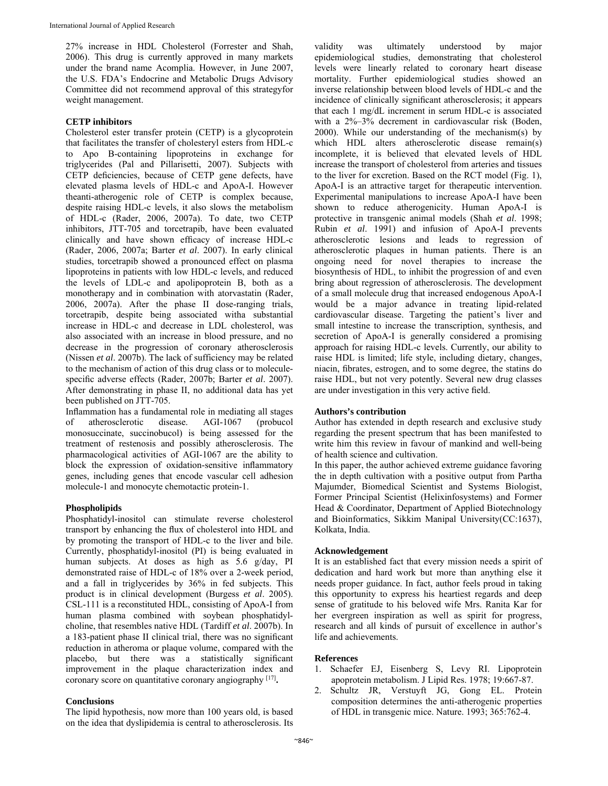27% increase in HDL Cholesterol (Forrester and Shah, 2006). This drug is currently approved in many markets under the brand name Acomplia. However, in June 2007, the U.S. FDA's Endocrine and Metabolic Drugs Advisory Committee did not recommend approval of this strategyfor weight management.

#### **CETP inhibitors**

Cholesterol ester transfer protein (CETP) is a glycoprotein that facilitates the transfer of cholesteryl esters from HDL-c to Apo B-containing lipoproteins in exchange for triglycerides (Pal and Pillarisetti, 2007). Subjects with CETP deficiencies, because of CETP gene defects, have elevated plasma levels of HDL-c and ApoA-I. However theanti-atherogenic role of CETP is complex because, despite raising HDL-c levels, it also slows the metabolism of HDL-c (Rader, 2006, 2007a). To date, two CETP inhibitors, JTT-705 and torcetrapib, have been evaluated clinically and have shown efficacy of increase HDL-c (Rader, 2006, 2007a; Barter *et al*. 2007). In early clinical studies, torcetrapib showed a pronounced effect on plasma lipoproteins in patients with low HDL-c levels, and reduced the levels of LDL-c and apolipoprotein B, both as a monotherapy and in combination with atorvastatin (Rader, 2006, 2007a). After the phase II dose-ranging trials, torcetrapib, despite being associated witha substantial increase in HDL-c and decrease in LDL cholesterol, was also associated with an increase in blood pressure, and no decrease in the progression of coronary atherosclerosis (Nissen *et al*. 2007b). The lack of sufficiency may be related to the mechanism of action of this drug class or to moleculespecific adverse effects (Rader, 2007b; Barter *et al*. 2007). After demonstrating in phase II, no additional data has yet been published on JTT-705.

Inflammation has a fundamental role in mediating all stages of atherosclerotic disease. AGI-1067 (probucol monosuccinate, succinobucol) is being assessed for the treatment of restenosis and possibly atherosclerosis. The pharmacological activities of AGI-1067 are the ability to block the expression of oxidation-sensitive inflammatory genes, including genes that encode vascular cell adhesion molecule-1 and monocyte chemotactic protein-1.

#### **Phospholipids**

Phosphatidyl-inositol can stimulate reverse cholesterol transport by enhancing the flux of cholesterol into HDL and by promoting the transport of HDL-c to the liver and bile. Currently, phosphatidyl-inositol (PI) is being evaluated in human subjects. At doses as high as 5.6 g/day, PI demonstrated raise of HDL-c of 18% over a 2-week period, and a fall in triglycerides by 36% in fed subjects. This product is in clinical development (Burgess *et al*. 2005). CSL-111 is a reconstituted HDL, consisting of ApoA-I from human plasma combined with soybean phosphatidylcholine, that resembles native HDL (Tardiff *et al*. 2007b). In a 183-patient phase II clinical trial, there was no significant reduction in atheroma or plaque volume, compared with the placebo, but there was a statistically significant improvement in the plaque characterization index and coronary score on quantitative coronary angiography [17]**.** 

#### **Conclusions**

The lipid hypothesis, now more than 100 years old, is based on the idea that dyslipidemia is central to atherosclerosis. Its

validity was ultimately understood by major epidemiological studies, demonstrating that cholesterol levels were linearly related to coronary heart disease mortality. Further epidemiological studies showed an inverse relationship between blood levels of HDL-c and the incidence of clinically significant atherosclerosis; it appears that each 1 mg/dL increment in serum HDL-c is associated with a 2%–3% decrement in cardiovascular risk (Boden, 2000). While our understanding of the mechanism(s) by which HDL alters atherosclerotic disease remain(s) incomplete, it is believed that elevated levels of HDL increase the transport of cholesterol from arteries and tissues to the liver for excretion. Based on the RCT model (Fig. 1), ApoA-I is an attractive target for therapeutic intervention. Experimental manipulations to increase ApoA-I have been shown to reduce atherogenicity. Human ApoA-I is protective in transgenic animal models (Shah *et al*. 1998; Rubin *et al*. 1991) and infusion of ApoA-I prevents atherosclerotic lesions and leads to regression of atherosclerotic plaques in human patients. There is an ongoing need for novel therapies to increase the biosynthesis of HDL, to inhibit the progression of and even bring about regression of atherosclerosis. The development of a small molecule drug that increased endogenous ApoA-I would be a major advance in treating lipid-related cardiovascular disease. Targeting the patient's liver and small intestine to increase the transcription, synthesis, and secretion of ApoA-I is generally considered a promising approach for raising HDL-c levels. Currently, our ability to raise HDL is limited; life style, including dietary, changes, niacin, fibrates, estrogen, and to some degree, the statins do raise HDL, but not very potently. Several new drug classes are under investigation in this very active field.

#### **Authors's contribution**

Author has extended in depth research and exclusive study regarding the present spectrum that has been manifested to write him this review in favour of mankind and well-being of health science and cultivation.

In this paper, the author achieved extreme guidance favoring the in depth cultivation with a positive output from Partha Majumder, Biomedical Scientist and Systems Biologist, Former Principal Scientist (Helixinfosystems) and Former Head & Coordinator, Department of Applied Biotechnology and Bioinformatics, Sikkim Manipal University(CC:1637), Kolkata, India.

#### **Acknowledgement**

It is an established fact that every mission needs a spirit of dedication and hard work but more than anything else it needs proper guidance. In fact, author feels proud in taking this opportunity to express his heartiest regards and deep sense of gratitude to his beloved wife Mrs. Ranita Kar for her evergreen inspiration as well as spirit for progress, research and all kinds of pursuit of excellence in author's life and achievements.

#### **References**

- 1. Schaefer EJ, Eisenberg S, Levy RI. Lipoprotein apoprotein metabolism. J Lipid Res. 1978; 19:667-87.
- 2. Schultz JR, Verstuyft JG, Gong EL. Protein composition determines the anti-atherogenic properties of HDL in transgenic mice. Nature. 1993; 365:762-4.